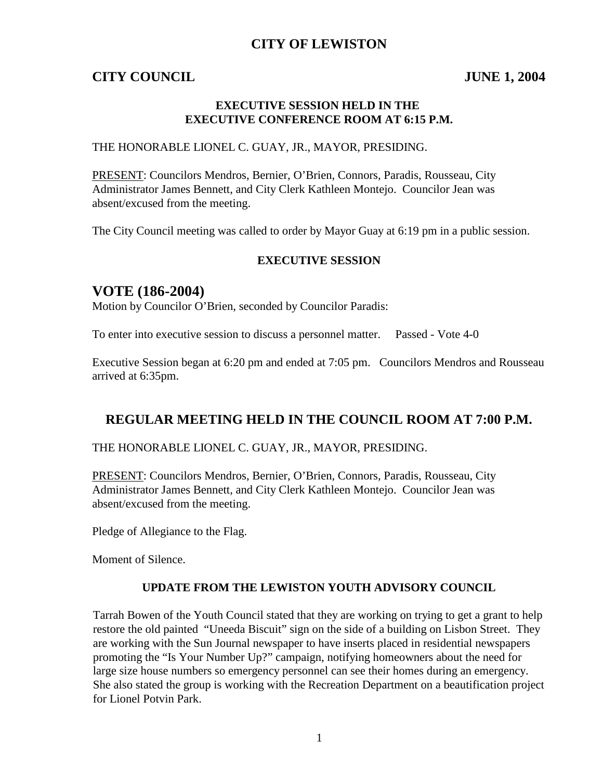## **CITY OF LEWISTON**

## **CITY COUNCIL JUNE 1, 2004**

#### **EXECUTIVE SESSION HELD IN THE EXECUTIVE CONFERENCE ROOM AT 6:15 P.M.**

#### THE HONORABLE LIONEL C. GUAY, JR., MAYOR, PRESIDING.

PRESENT: Councilors Mendros, Bernier, O'Brien, Connors, Paradis, Rousseau, City Administrator James Bennett, and City Clerk Kathleen Montejo. Councilor Jean was absent/excused from the meeting.

The City Council meeting was called to order by Mayor Guay at 6:19 pm in a public session.

#### **EXECUTIVE SESSION**

## **VOTE (186-2004)**

Motion by Councilor O'Brien, seconded by Councilor Paradis:

To enter into executive session to discuss a personnel matter. Passed - Vote 4-0

Executive Session began at 6:20 pm and ended at 7:05 pm. Councilors Mendros and Rousseau arrived at 6:35pm.

## **REGULAR MEETING HELD IN THE COUNCIL ROOM AT 7:00 P.M.**

THE HONORABLE LIONEL C. GUAY, JR., MAYOR, PRESIDING.

PRESENT: Councilors Mendros, Bernier, O'Brien, Connors, Paradis, Rousseau, City Administrator James Bennett, and City Clerk Kathleen Montejo. Councilor Jean was absent/excused from the meeting.

Pledge of Allegiance to the Flag.

Moment of Silence.

#### **UPDATE FROM THE LEWISTON YOUTH ADVISORY COUNCIL**

Tarrah Bowen of the Youth Council stated that they are working on trying to get a grant to help restore the old painted "Uneeda Biscuit" sign on the side of a building on Lisbon Street. They are working with the Sun Journal newspaper to have inserts placed in residential newspapers promoting the "Is Your Number Up?" campaign, notifying homeowners about the need for large size house numbers so emergency personnel can see their homes during an emergency. She also stated the group is working with the Recreation Department on a beautification project for Lionel Potvin Park.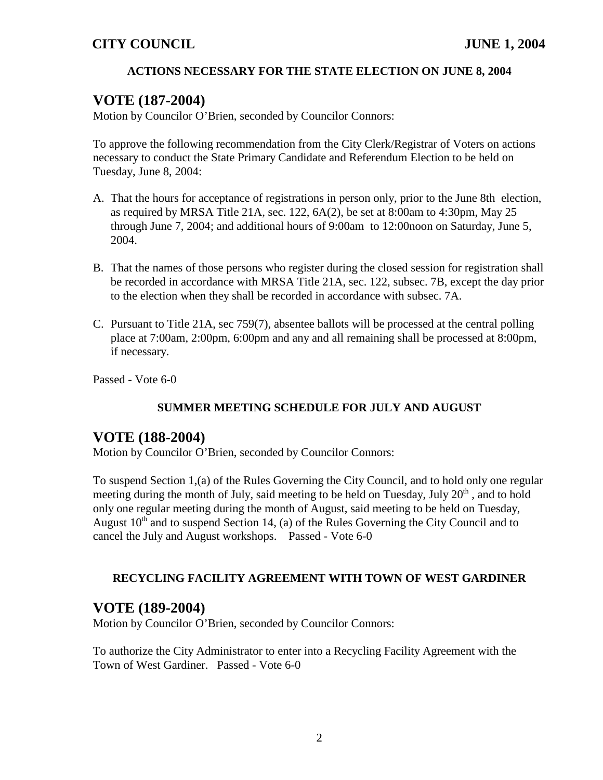## **ACTIONS NECESSARY FOR THE STATE ELECTION ON JUNE 8, 2004**

## **VOTE (187-2004)**

Motion by Councilor O'Brien, seconded by Councilor Connors:

To approve the following recommendation from the City Clerk/Registrar of Voters on actions necessary to conduct the State Primary Candidate and Referendum Election to be held on Tuesday, June 8, 2004:

- A. That the hours for acceptance of registrations in person only, prior to the June 8th election, as required by MRSA Title 21A, sec. 122, 6A(2), be set at 8:00am to 4:30pm, May 25 through June 7, 2004; and additional hours of 9:00am to 12:00noon on Saturday, June 5, 2004.
- B. That the names of those persons who register during the closed session for registration shall be recorded in accordance with MRSA Title 21A, sec. 122, subsec. 7B, except the day prior to the election when they shall be recorded in accordance with subsec. 7A.
- C. Pursuant to Title 21A, sec 759(7), absentee ballots will be processed at the central polling place at 7:00am, 2:00pm, 6:00pm and any and all remaining shall be processed at 8:00pm, if necessary.

Passed - Vote 6-0

## **SUMMER MEETING SCHEDULE FOR JULY AND AUGUST**

## **VOTE (188-2004)**

Motion by Councilor O'Brien, seconded by Councilor Connors:

To suspend Section 1,(a) of the Rules Governing the City Council, and to hold only one regular meeting during the month of July, said meeting to be held on Tuesday, July 20<sup>th</sup>, and to hold only one regular meeting during the month of August, said meeting to be held on Tuesday, August  $10<sup>th</sup>$  and to suspend Section 14, (a) of the Rules Governing the City Council and to cancel the July and August workshops. Passed - Vote 6-0

#### **RECYCLING FACILITY AGREEMENT WITH TOWN OF WEST GARDINER**

## **VOTE (189-2004)**

Motion by Councilor O'Brien, seconded by Councilor Connors:

To authorize the City Administrator to enter into a Recycling Facility Agreement with the Town of West Gardiner. Passed - Vote 6-0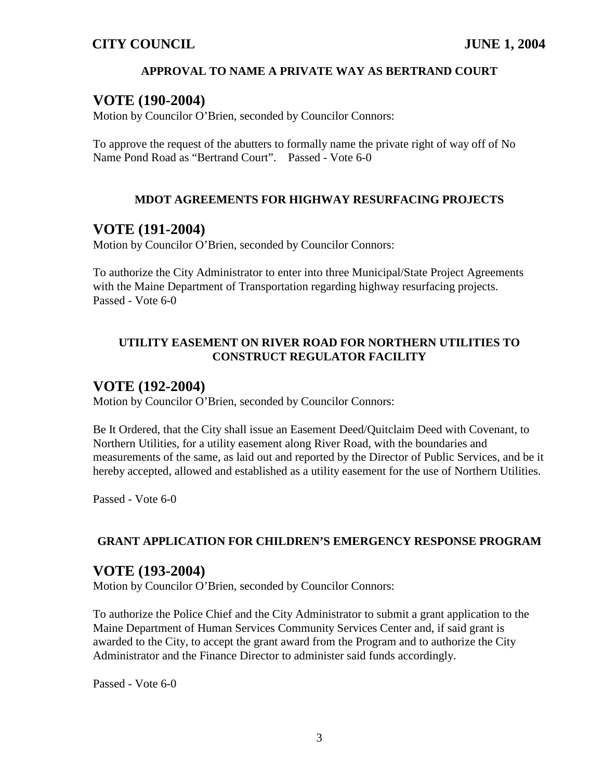### **APPROVAL TO NAME A PRIVATE WAY AS BERTRAND COURT**

## **VOTE (190-2004)**

Motion by Councilor O'Brien, seconded by Councilor Connors:

To approve the request of the abutters to formally name the private right of way off of No Name Pond Road as "Bertrand Court". Passed - Vote 6-0

#### **MDOT AGREEMENTS FOR HIGHWAY RESURFACING PROJECTS**

## **VOTE (191-2004)**

Motion by Councilor O'Brien, seconded by Councilor Connors:

To authorize the City Administrator to enter into three Municipal/State Project Agreements with the Maine Department of Transportation regarding highway resurfacing projects. Passed - Vote 6-0

### **UTILITY EASEMENT ON RIVER ROAD FOR NORTHERN UTILITIES TO CONSTRUCT REGULATOR FACILITY**

## **VOTE (192-2004)**

Motion by Councilor O'Brien, seconded by Councilor Connors:

Be It Ordered, that the City shall issue an Easement Deed/Quitclaim Deed with Covenant, to Northern Utilities, for a utility easement along River Road, with the boundaries and measurements of the same, as laid out and reported by the Director of Public Services, and be it hereby accepted, allowed and established as a utility easement for the use of Northern Utilities.

Passed - Vote 6-0

#### **GRANT APPLICATION FOR CHILDREN'S EMERGENCY RESPONSE PROGRAM**

## **VOTE (193-2004)**

Motion by Councilor O'Brien, seconded by Councilor Connors:

To authorize the Police Chief and the City Administrator to submit a grant application to the Maine Department of Human Services Community Services Center and, if said grant is awarded to the City, to accept the grant award from the Program and to authorize the City Administrator and the Finance Director to administer said funds accordingly.

Passed - Vote 6-0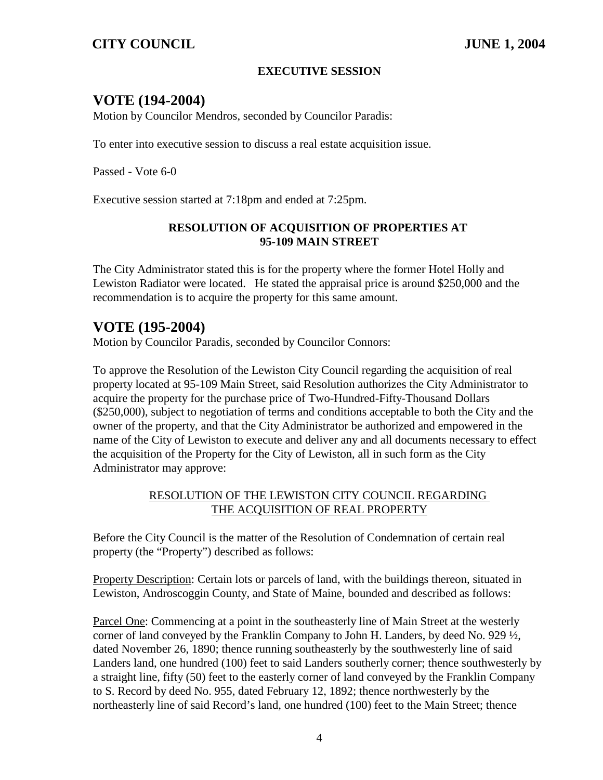#### **EXECUTIVE SESSION**

## **VOTE (194-2004)**

Motion by Councilor Mendros, seconded by Councilor Paradis:

To enter into executive session to discuss a real estate acquisition issue.

Passed - Vote 6-0

Executive session started at 7:18pm and ended at 7:25pm.

#### **RESOLUTION OF ACQUISITION OF PROPERTIES AT 95-109 MAIN STREET**

The City Administrator stated this is for the property where the former Hotel Holly and Lewiston Radiator were located. He stated the appraisal price is around \$250,000 and the recommendation is to acquire the property for this same amount.

## **VOTE (195-2004)**

Motion by Councilor Paradis, seconded by Councilor Connors:

To approve the Resolution of the Lewiston City Council regarding the acquisition of real property located at 95-109 Main Street, said Resolution authorizes the City Administrator to acquire the property for the purchase price of Two-Hundred-Fifty-Thousand Dollars (\$250,000), subject to negotiation of terms and conditions acceptable to both the City and the owner of the property, and that the City Administrator be authorized and empowered in the name of the City of Lewiston to execute and deliver any and all documents necessary to effect the acquisition of the Property for the City of Lewiston, all in such form as the City Administrator may approve:

#### RESOLUTION OF THE LEWISTON CITY COUNCIL REGARDING THE ACQUISITION OF REAL PROPERTY

Before the City Council is the matter of the Resolution of Condemnation of certain real property (the "Property") described as follows:

Property Description: Certain lots or parcels of land, with the buildings thereon, situated in Lewiston, Androscoggin County, and State of Maine, bounded and described as follows:

Parcel One: Commencing at a point in the southeasterly line of Main Street at the westerly corner of land conveyed by the Franklin Company to John H. Landers, by deed No. 929  $\frac{1}{2}$ , dated November 26, 1890; thence running southeasterly by the southwesterly line of said Landers land, one hundred (100) feet to said Landers southerly corner; thence southwesterly by a straight line, fifty (50) feet to the easterly corner of land conveyed by the Franklin Company to S. Record by deed No. 955, dated February 12, 1892; thence northwesterly by the northeasterly line of said Record's land, one hundred (100) feet to the Main Street; thence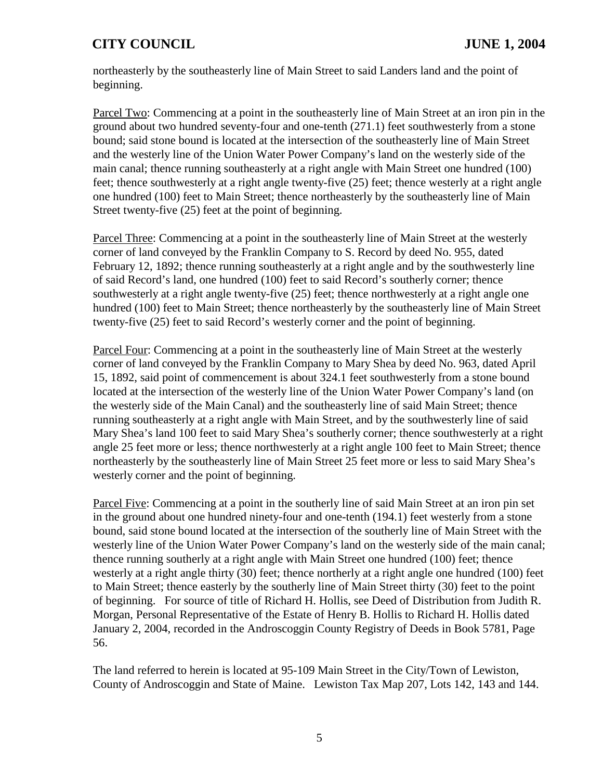northeasterly by the southeasterly line of Main Street to said Landers land and the point of beginning.

Parcel Two: Commencing at a point in the southeasterly line of Main Street at an iron pin in the ground about two hundred seventy-four and one-tenth (271.1) feet southwesterly from a stone bound; said stone bound is located at the intersection of the southeasterly line of Main Street and the westerly line of the Union Water Power Company's land on the westerly side of the main canal; thence running southeasterly at a right angle with Main Street one hundred (100) feet; thence southwesterly at a right angle twenty-five (25) feet; thence westerly at a right angle one hundred (100) feet to Main Street; thence northeasterly by the southeasterly line of Main Street twenty-five (25) feet at the point of beginning.

Parcel Three: Commencing at a point in the southeasterly line of Main Street at the westerly corner of land conveyed by the Franklin Company to S. Record by deed No. 955, dated February 12, 1892; thence running southeasterly at a right angle and by the southwesterly line of said Record's land, one hundred (100) feet to said Record's southerly corner; thence southwesterly at a right angle twenty-five (25) feet; thence northwesterly at a right angle one hundred (100) feet to Main Street; thence northeasterly by the southeasterly line of Main Street twenty-five (25) feet to said Record's westerly corner and the point of beginning.

Parcel Four: Commencing at a point in the southeasterly line of Main Street at the westerly corner of land conveyed by the Franklin Company to Mary Shea by deed No. 963, dated April 15, 1892, said point of commencement is about 324.1 feet southwesterly from a stone bound located at the intersection of the westerly line of the Union Water Power Company's land (on the westerly side of the Main Canal) and the southeasterly line of said Main Street; thence running southeasterly at a right angle with Main Street, and by the southwesterly line of said Mary Shea's land 100 feet to said Mary Shea's southerly corner; thence southwesterly at a right angle 25 feet more or less; thence northwesterly at a right angle 100 feet to Main Street; thence northeasterly by the southeasterly line of Main Street 25 feet more or less to said Mary Shea's westerly corner and the point of beginning.

Parcel Five: Commencing at a point in the southerly line of said Main Street at an iron pin set in the ground about one hundred ninety-four and one-tenth (194.1) feet westerly from a stone bound, said stone bound located at the intersection of the southerly line of Main Street with the westerly line of the Union Water Power Company's land on the westerly side of the main canal; thence running southerly at a right angle with Main Street one hundred (100) feet; thence westerly at a right angle thirty (30) feet; thence northerly at a right angle one hundred (100) feet to Main Street; thence easterly by the southerly line of Main Street thirty (30) feet to the point of beginning. For source of title of Richard H. Hollis, see Deed of Distribution from Judith R. Morgan, Personal Representative of the Estate of Henry B. Hollis to Richard H. Hollis dated January 2, 2004, recorded in the Androscoggin County Registry of Deeds in Book 5781, Page 56.

The land referred to herein is located at 95-109 Main Street in the City/Town of Lewiston, County of Androscoggin and State of Maine. Lewiston Tax Map 207, Lots 142, 143 and 144.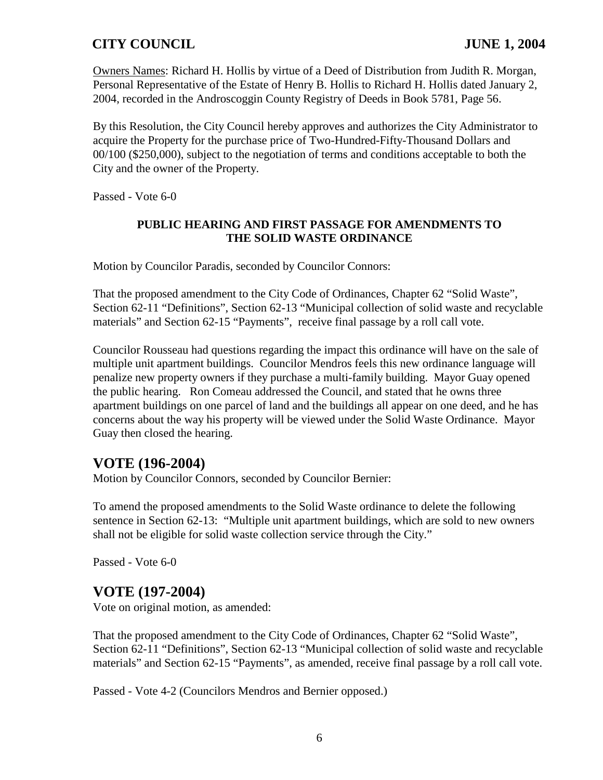Owners Names: Richard H. Hollis by virtue of a Deed of Distribution from Judith R. Morgan, Personal Representative of the Estate of Henry B. Hollis to Richard H. Hollis dated January 2, 2004, recorded in the Androscoggin County Registry of Deeds in Book 5781, Page 56.

By this Resolution, the City Council hereby approves and authorizes the City Administrator to acquire the Property for the purchase price of Two-Hundred-Fifty-Thousand Dollars and 00/100 (\$250,000), subject to the negotiation of terms and conditions acceptable to both the City and the owner of the Property.

Passed - Vote 6-0

#### **PUBLIC HEARING AND FIRST PASSAGE FOR AMENDMENTS TO THE SOLID WASTE ORDINANCE**

Motion by Councilor Paradis, seconded by Councilor Connors:

That the proposed amendment to the City Code of Ordinances, Chapter 62 "Solid Waste", Section 62-11 "Definitions", Section 62-13 "Municipal collection of solid waste and recyclable materials" and Section 62-15 "Payments", receive final passage by a roll call vote.

Councilor Rousseau had questions regarding the impact this ordinance will have on the sale of multiple unit apartment buildings. Councilor Mendros feels this new ordinance language will penalize new property owners if they purchase a multi-family building. Mayor Guay opened the public hearing. Ron Comeau addressed the Council, and stated that he owns three apartment buildings on one parcel of land and the buildings all appear on one deed, and he has concerns about the way his property will be viewed under the Solid Waste Ordinance. Mayor Guay then closed the hearing.

## **VOTE (196-2004)**

Motion by Councilor Connors, seconded by Councilor Bernier:

To amend the proposed amendments to the Solid Waste ordinance to delete the following sentence in Section 62-13: "Multiple unit apartment buildings, which are sold to new owners shall not be eligible for solid waste collection service through the City."

Passed - Vote 6-0

## **VOTE (197-2004)**

Vote on original motion, as amended:

That the proposed amendment to the City Code of Ordinances, Chapter 62 "Solid Waste", Section 62-11 "Definitions", Section 62-13 "Municipal collection of solid waste and recyclable materials" and Section 62-15 "Payments", as amended, receive final passage by a roll call vote.

Passed - Vote 4-2 (Councilors Mendros and Bernier opposed.)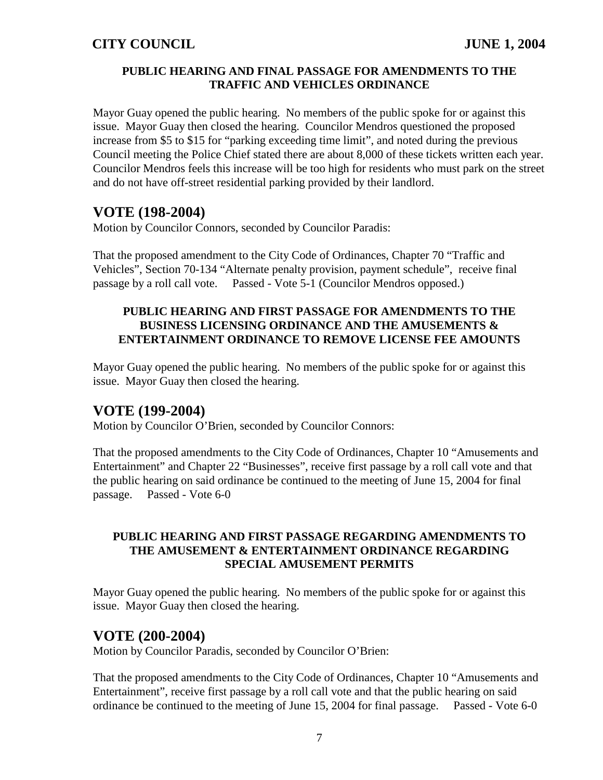#### **PUBLIC HEARING AND FINAL PASSAGE FOR AMENDMENTS TO THE TRAFFIC AND VEHICLES ORDINANCE**

Mayor Guay opened the public hearing. No members of the public spoke for or against this issue. Mayor Guay then closed the hearing. Councilor Mendros questioned the proposed increase from \$5 to \$15 for "parking exceeding time limit", and noted during the previous Council meeting the Police Chief stated there are about 8,000 of these tickets written each year. Councilor Mendros feels this increase will be too high for residents who must park on the street and do not have off-street residential parking provided by their landlord.

# **VOTE (198-2004)**

Motion by Councilor Connors, seconded by Councilor Paradis:

That the proposed amendment to the City Code of Ordinances, Chapter 70 "Traffic and Vehicles", Section 70-134 "Alternate penalty provision, payment schedule", receive final passage by a roll call vote. Passed - Vote 5-1 (Councilor Mendros opposed.)

## **PUBLIC HEARING AND FIRST PASSAGE FOR AMENDMENTS TO THE BUSINESS LICENSING ORDINANCE AND THE AMUSEMENTS & ENTERTAINMENT ORDINANCE TO REMOVE LICENSE FEE AMOUNTS**

Mayor Guay opened the public hearing. No members of the public spoke for or against this issue. Mayor Guay then closed the hearing.

## **VOTE (199-2004)**

Motion by Councilor O'Brien, seconded by Councilor Connors:

That the proposed amendments to the City Code of Ordinances, Chapter 10 "Amusements and Entertainment" and Chapter 22 "Businesses", receive first passage by a roll call vote and that the public hearing on said ordinance be continued to the meeting of June 15, 2004 for final passage. Passed - Vote 6-0

#### **PUBLIC HEARING AND FIRST PASSAGE REGARDING AMENDMENTS TO THE AMUSEMENT & ENTERTAINMENT ORDINANCE REGARDING SPECIAL AMUSEMENT PERMITS**

Mayor Guay opened the public hearing. No members of the public spoke for or against this issue. Mayor Guay then closed the hearing.

## **VOTE (200-2004)**

Motion by Councilor Paradis, seconded by Councilor O'Brien:

That the proposed amendments to the City Code of Ordinances, Chapter 10 "Amusements and Entertainment", receive first passage by a roll call vote and that the public hearing on said ordinance be continued to the meeting of June 15, 2004 for final passage. Passed - Vote 6-0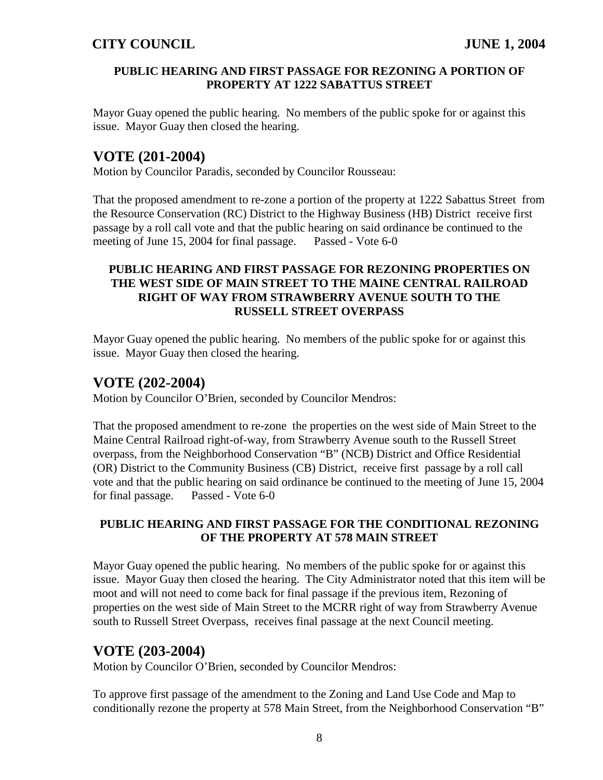#### **PUBLIC HEARING AND FIRST PASSAGE FOR REZONING A PORTION OF PROPERTY AT 1222 SABATTUS STREET**

Mayor Guay opened the public hearing. No members of the public spoke for or against this issue. Mayor Guay then closed the hearing.

# **VOTE (201-2004)**

Motion by Councilor Paradis, seconded by Councilor Rousseau:

That the proposed amendment to re-zone a portion of the property at 1222 Sabattus Street from the Resource Conservation (RC) District to the Highway Business (HB) District receive first passage by a roll call vote and that the public hearing on said ordinance be continued to the meeting of June 15, 2004 for final passage. Passed - Vote 6-0

## **PUBLIC HEARING AND FIRST PASSAGE FOR REZONING PROPERTIES ON THE WEST SIDE OF MAIN STREET TO THE MAINE CENTRAL RAILROAD RIGHT OF WAY FROM STRAWBERRY AVENUE SOUTH TO THE RUSSELL STREET OVERPASS**

Mayor Guay opened the public hearing. No members of the public spoke for or against this issue. Mayor Guay then closed the hearing.

# **VOTE (202-2004)**

Motion by Councilor O'Brien, seconded by Councilor Mendros:

That the proposed amendment to re-zone the properties on the west side of Main Street to the Maine Central Railroad right-of-way, from Strawberry Avenue south to the Russell Street overpass, from the Neighborhood Conservation "B" (NCB) District and Office Residential (OR) District to the Community Business (CB) District, receive first passage by a roll call vote and that the public hearing on said ordinance be continued to the meeting of June 15, 2004 for final passage. Passed - Vote 6-0

#### **PUBLIC HEARING AND FIRST PASSAGE FOR THE CONDITIONAL REZONING OF THE PROPERTY AT 578 MAIN STREET**

Mayor Guay opened the public hearing. No members of the public spoke for or against this issue. Mayor Guay then closed the hearing. The City Administrator noted that this item will be moot and will not need to come back for final passage if the previous item, Rezoning of properties on the west side of Main Street to the MCRR right of way from Strawberry Avenue south to Russell Street Overpass, receives final passage at the next Council meeting.

# **VOTE (203-2004)**

Motion by Councilor O'Brien, seconded by Councilor Mendros:

To approve first passage of the amendment to the Zoning and Land Use Code and Map to conditionally rezone the property at 578 Main Street, from the Neighborhood Conservation "B"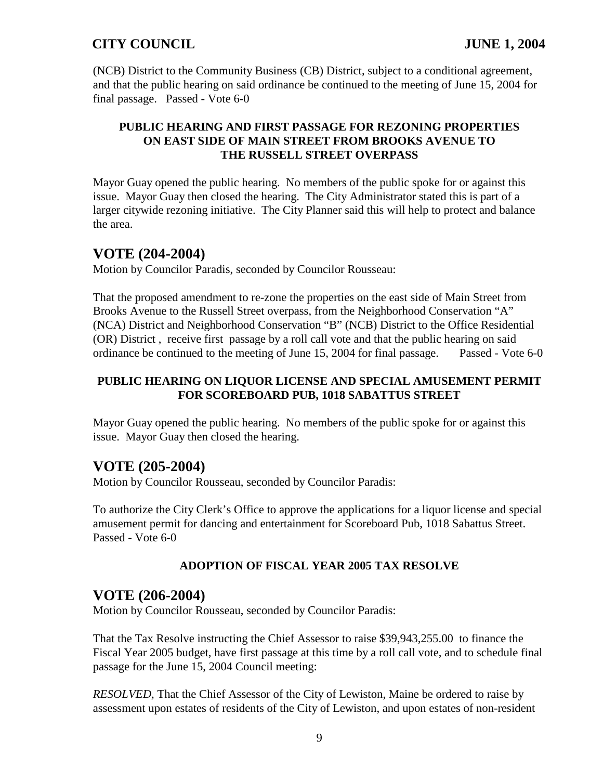(NCB) District to the Community Business (CB) District, subject to a conditional agreement, and that the public hearing on said ordinance be continued to the meeting of June 15, 2004 for final passage. Passed - Vote 6-0

#### **PUBLIC HEARING AND FIRST PASSAGE FOR REZONING PROPERTIES ON EAST SIDE OF MAIN STREET FROM BROOKS AVENUE TO THE RUSSELL STREET OVERPASS**

Mayor Guay opened the public hearing. No members of the public spoke for or against this issue. Mayor Guay then closed the hearing. The City Administrator stated this is part of a larger citywide rezoning initiative. The City Planner said this will help to protect and balance the area.

## **VOTE (204-2004)**

Motion by Councilor Paradis, seconded by Councilor Rousseau:

That the proposed amendment to re-zone the properties on the east side of Main Street from Brooks Avenue to the Russell Street overpass, from the Neighborhood Conservation "A" (NCA) District and Neighborhood Conservation "B" (NCB) District to the Office Residential (OR) District , receive first passage by a roll call vote and that the public hearing on said ordinance be continued to the meeting of June 15, 2004 for final passage. Passed - Vote 6-0

#### **PUBLIC HEARING ON LIQUOR LICENSE AND SPECIAL AMUSEMENT PERMIT FOR SCOREBOARD PUB, 1018 SABATTUS STREET**

Mayor Guay opened the public hearing. No members of the public spoke for or against this issue. Mayor Guay then closed the hearing.

## **VOTE (205-2004)**

Motion by Councilor Rousseau, seconded by Councilor Paradis:

To authorize the City Clerk's Office to approve the applications for a liquor license and special amusement permit for dancing and entertainment for Scoreboard Pub, 1018 Sabattus Street. Passed - Vote 6-0

## **ADOPTION OF FISCAL YEAR 2005 TAX RESOLVE**

## **VOTE (206-2004)**

Motion by Councilor Rousseau, seconded by Councilor Paradis:

That the Tax Resolve instructing the Chief Assessor to raise \$39,943,255.00 to finance the Fiscal Year 2005 budget, have first passage at this time by a roll call vote, and to schedule final passage for the June 15, 2004 Council meeting:

*RESOLVED,* That the Chief Assessor of the City of Lewiston, Maine be ordered to raise by assessment upon estates of residents of the City of Lewiston, and upon estates of non-resident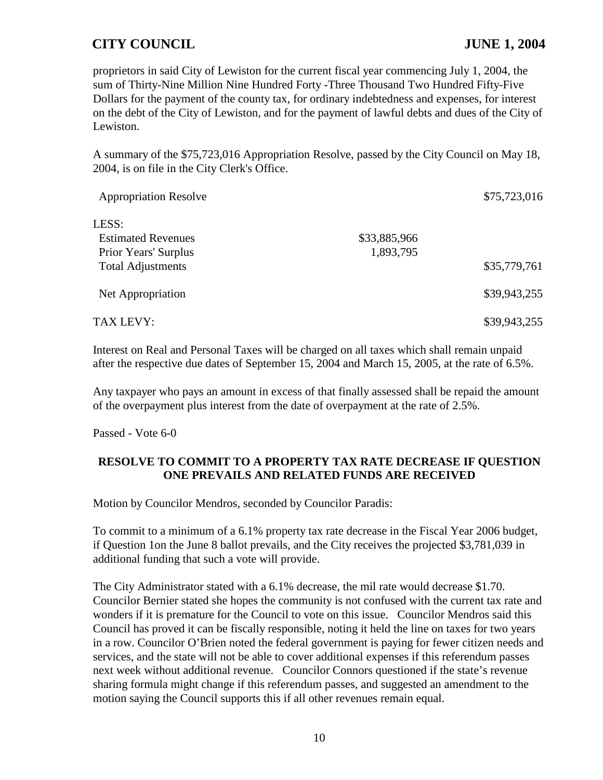proprietors in said City of Lewiston for the current fiscal year commencing July 1, 2004, the sum of Thirty-Nine Million Nine Hundred Forty -Three Thousand Two Hundred Fifty-Five Dollars for the payment of the county tax, for ordinary indebtedness and expenses, for interest on the debt of the City of Lewiston, and for the payment of lawful debts and dues of the City of Lewiston.

A summary of the \$75,723,016 Appropriation Resolve, passed by the City Council on May 18, 2004, is on file in the City Clerk's Office.

| <b>Appropriation Resolve</b> |              | \$75,723,016 |
|------------------------------|--------------|--------------|
| LESS:                        |              |              |
| <b>Estimated Revenues</b>    | \$33,885,966 |              |
| Prior Years' Surplus         | 1,893,795    |              |
| <b>Total Adjustments</b>     |              | \$35,779,761 |
| Net Appropriation            |              | \$39,943,255 |
| TAX LEVY:                    |              | \$39,943,255 |

Interest on Real and Personal Taxes will be charged on all taxes which shall remain unpaid after the respective due dates of September 15, 2004 and March 15, 2005, at the rate of 6.5%.

Any taxpayer who pays an amount in excess of that finally assessed shall be repaid the amount of the overpayment plus interest from the date of overpayment at the rate of 2.5%.

Passed - Vote 6-0

#### **RESOLVE TO COMMIT TO A PROPERTY TAX RATE DECREASE IF QUESTION ONE PREVAILS AND RELATED FUNDS ARE RECEIVED**

Motion by Councilor Mendros, seconded by Councilor Paradis:

To commit to a minimum of a 6.1% property tax rate decrease in the Fiscal Year 2006 budget, if Question 1on the June 8 ballot prevails, and the City receives the projected \$3,781,039 in additional funding that such a vote will provide.

The City Administrator stated with a 6.1% decrease, the mil rate would decrease \$1.70. Councilor Bernier stated she hopes the community is not confused with the current tax rate and wonders if it is premature for the Council to vote on this issue. Councilor Mendros said this Council has proved it can be fiscally responsible, noting it held the line on taxes for two years in a row. Councilor O'Brien noted the federal government is paying for fewer citizen needs and services, and the state will not be able to cover additional expenses if this referendum passes next week without additional revenue. Councilor Connors questioned if the state's revenue sharing formula might change if this referendum passes, and suggested an amendment to the motion saying the Council supports this if all other revenues remain equal.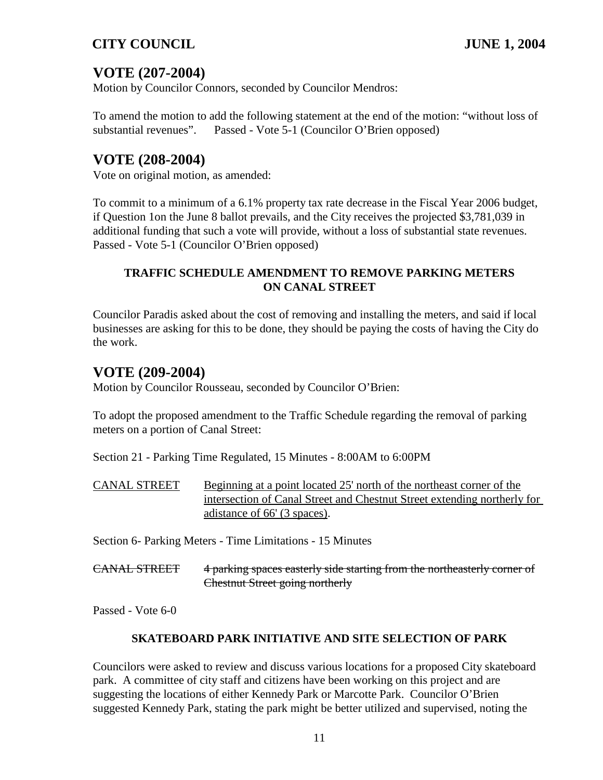# **VOTE (207-2004)**

Motion by Councilor Connors, seconded by Councilor Mendros:

To amend the motion to add the following statement at the end of the motion: "without loss of substantial revenues". Passed - Vote 5-1 (Councilor O'Brien opposed)

# **VOTE (208-2004)**

Vote on original motion, as amended:

To commit to a minimum of a 6.1% property tax rate decrease in the Fiscal Year 2006 budget, if Question 1on the June 8 ballot prevails, and the City receives the projected \$3,781,039 in additional funding that such a vote will provide, without a loss of substantial state revenues. Passed - Vote 5-1 (Councilor O'Brien opposed)

## **TRAFFIC SCHEDULE AMENDMENT TO REMOVE PARKING METERS ON CANAL STREET**

Councilor Paradis asked about the cost of removing and installing the meters, and said if local businesses are asking for this to be done, they should be paying the costs of having the City do the work.

# **VOTE (209-2004)**

Motion by Councilor Rousseau, seconded by Councilor O'Brien:

To adopt the proposed amendment to the Traffic Schedule regarding the removal of parking meters on a portion of Canal Street:

Section 21 - Parking Time Regulated, 15 Minutes - 8:00AM to 6:00PM

| <b>CANAL STREET</b> | Beginning at a point located 25' north of the northeast corner of the    |
|---------------------|--------------------------------------------------------------------------|
|                     | intersection of Canal Street and Chestnut Street extending northerly for |
|                     | adistance of 66' (3 spaces).                                             |

Section 6- Parking Meters - Time Limitations - 15 Minutes

| $CANMI$ ctdet.      | 4 notice anonce costatly side stating from the northeastatly correr of   |
|---------------------|--------------------------------------------------------------------------|
| <b>CANAL DINELI</b> | 4 paining spaces easierly side starting from the northeasterly corner of |
|                     | Chestnut Street going northerly                                          |

Passed - Vote 6-0

#### **SKATEBOARD PARK INITIATIVE AND SITE SELECTION OF PARK**

Councilors were asked to review and discuss various locations for a proposed City skateboard park. A committee of city staff and citizens have been working on this project and are suggesting the locations of either Kennedy Park or Marcotte Park. Councilor O'Brien suggested Kennedy Park, stating the park might be better utilized and supervised, noting the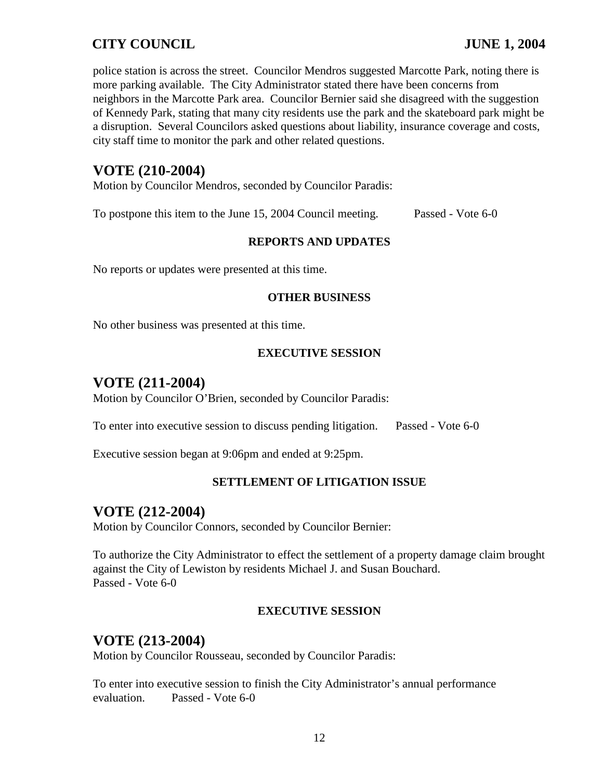police station is across the street. Councilor Mendros suggested Marcotte Park, noting there is more parking available. The City Administrator stated there have been concerns from neighbors in the Marcotte Park area. Councilor Bernier said she disagreed with the suggestion of Kennedy Park, stating that many city residents use the park and the skateboard park might be a disruption. Several Councilors asked questions about liability, insurance coverage and costs, city staff time to monitor the park and other related questions.

## **VOTE (210-2004)**

Motion by Councilor Mendros, seconded by Councilor Paradis:

To postpone this item to the June 15, 2004 Council meeting. Passed - Vote 6-0

#### **REPORTS AND UPDATES**

No reports or updates were presented at this time.

#### **OTHER BUSINESS**

No other business was presented at this time.

#### **EXECUTIVE SESSION**

## **VOTE (211-2004)**

Motion by Councilor O'Brien, seconded by Councilor Paradis:

To enter into executive session to discuss pending litigation. Passed - Vote 6-0

Executive session began at 9:06pm and ended at 9:25pm.

#### **SETTLEMENT OF LITIGATION ISSUE**

## **VOTE (212-2004)**

Motion by Councilor Connors, seconded by Councilor Bernier:

To authorize the City Administrator to effect the settlement of a property damage claim brought against the City of Lewiston by residents Michael J. and Susan Bouchard. Passed - Vote 6-0

#### **EXECUTIVE SESSION**

## **VOTE (213-2004)**

Motion by Councilor Rousseau, seconded by Councilor Paradis:

To enter into executive session to finish the City Administrator's annual performance evaluation. Passed - Vote 6-0